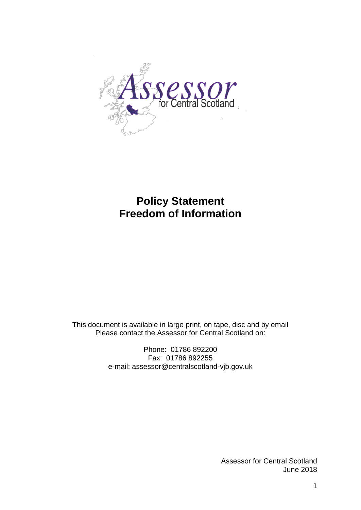

# **Policy Statement Freedom of Information**

This document is available in large print, on tape, disc and by email Please contact the Assessor for Central Scotland on:

> Phone: 01786 892200 Fax: 01786 892255 e-mail: assessor@centralscotland-vjb.gov.uk

> > Assessor for Central Scotland June 2018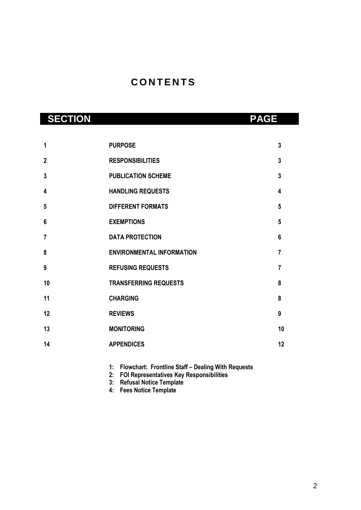# **C O N T E N T S**

| <b>SECTION</b> |                                  | <b>PAGE</b>    |
|----------------|----------------------------------|----------------|
|                |                                  |                |
| 1              | <b>PURPOSE</b>                   | 3              |
| $\overline{2}$ | <b>RESPONSIBILITIES</b>          | $\mathbf{3}$   |
| 3              | <b>PUBLICATION SCHEME</b>        | $\overline{3}$ |
| 4              | <b>HANDLING REQUESTS</b>         | 4              |
| 5              | <b>DIFFERENT FORMATS</b>         | 5              |
| $6\phantom{1}$ | <b>EXEMPTIONS</b>                | 5              |
| $\overline{7}$ | <b>DATA PROTECTION</b>           | 6              |
| 8              | <b>ENVIRONMENTAL INFORMATION</b> | $\overline{7}$ |
| 9              | <b>REFUSING REQUESTS</b>         | $\overline{7}$ |
| 10             | <b>TRANSFERRING REQUESTS</b>     | 8              |
| 11             | <b>CHARGING</b>                  | 8              |
| 12             | <b>REVIEWS</b>                   | 9              |
| 13             | <b>MONITORING</b>                | 10             |
| 14             | <b>APPENDICES</b>                | 12             |
|                |                                  |                |

**1: Flowchart: Frontline Staff – Dealing With Requests**

**2: FOI Representatives Key Responsibilities**

- **3: Refusal Notice Template**
- **4: Fees Notice Template**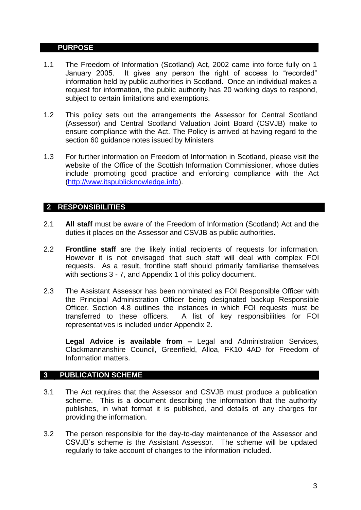#### **1PURPOSE**

- 1.1 The Freedom of Information (Scotland) Act, 2002 came into force fully on 1 January 2005. It gives any person the right of access to "recorded" information held by public authorities in Scotland. Once an individual makes a request for information, the public authority has 20 working days to respond, subject to certain limitations and exemptions.
- 1.2 This policy sets out the arrangements the Assessor for Central Scotland (Assessor) and Central Scotland Valuation Joint Board (CSVJB) make to ensure compliance with the Act. The Policy is arrived at having regard to the section 60 guidance notes issued by Ministers
- 1.3 For further information on Freedom of Information in Scotland, please visit the website of the Office of the Scottish Information Commissioner, whose duties include promoting good practice and enforcing compliance with the Act [\(http://www.itspublicknowledge.info\)](http://www.itspublicknowledge.info/).

#### **2 RESPONSIBILITIES**

- 2.1 **All staff** must be aware of the Freedom of Information (Scotland) Act and the duties it places on the Assessor and CSVJB as public authorities.
- 2.2 **Frontline staff** are the likely initial recipients of requests for information. However it is not envisaged that such staff will deal with complex FOI requests. As a result, frontline staff should primarily familiarise themselves with sections 3 - 7, and Appendix 1 of this policy document.
- 2.3 The Assistant Assessor has been nominated as FOI Responsible Officer with the Principal Administration Officer being designated backup Responsible Officer. Section 4.8 outlines the instances in which FOI requests must be transferred to these officers. A list of key responsibilities for FOI representatives is included under Appendix 2.

**Legal Advice is available from –** Legal and Administration Services, Clackmannanshire Council, Greenfield, Alloa, FK10 4AD for Freedom of Information matters.

#### **3 PUBLICATION SCHEME**

- 3.1 The Act requires that the Assessor and CSVJB must produce a publication scheme. This is a document describing the information that the authority publishes, in what format it is published, and details of any charges for providing the information.
- 3.2 The person responsible for the day-to-day maintenance of the Assessor and CSVJB's scheme is the Assistant Assessor. The scheme will be updated regularly to take account of changes to the information included.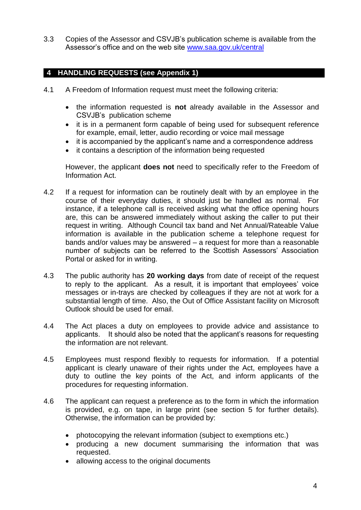3.3 Copies of the Assessor and CSVJB's publication scheme is available from the Assessor's office and on the web site [www.saa.gov.uk/central](http://www.saa.gov.uk/central)

# **4 HANDLING REQUESTS (see Appendix 1)**

- 4.1 A Freedom of Information request must meet the following criteria:
	- the information requested is **not** already available in the Assessor and CSVJB's publication scheme
	- it is in a permanent form capable of being used for subsequent reference for example, email, letter, audio recording or voice mail message
	- it is accompanied by the applicant's name and a correspondence address
	- it contains a description of the information being requested

However, the applicant **does not** need to specifically refer to the Freedom of Information Act.

- 4.2 If a request for information can be routinely dealt with by an employee in the course of their everyday duties, it should just be handled as normal. For instance, if a telephone call is received asking what the office opening hours are, this can be answered immediately without asking the caller to put their request in writing. Although Council tax band and Net Annual/Rateable Value information is available in the publication scheme a telephone request for bands and/or values may be answered – a request for more than a reasonable number of subjects can be referred to the Scottish Assessors' Association Portal or asked for in writing.
- 4.3 The public authority has **20 working days** from date of receipt of the request to reply to the applicant. As a result, it is important that employees' voice messages or in-trays are checked by colleagues if they are not at work for a substantial length of time. Also, the Out of Office Assistant facility on Microsoft Outlook should be used for email.
- 4.4 The Act places a duty on employees to provide advice and assistance to applicants. It should also be noted that the applicant's reasons for requesting the information are not relevant.
- 4.5 Employees must respond flexibly to requests for information. If a potential applicant is clearly unaware of their rights under the Act, employees have a duty to outline the key points of the Act, and inform applicants of the procedures for requesting information.
- 4.6 The applicant can request a preference as to the form in which the information is provided, e.g. on tape, in large print (see section 5 for further details). Otherwise, the information can be provided by:
	- photocopying the relevant information (subject to exemptions etc.)
	- producing a new document summarising the information that was requested.
	- allowing access to the original documents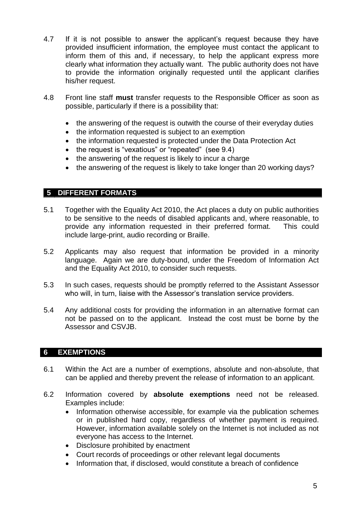- 4.7 If it is not possible to answer the applicant's request because they have provided insufficient information, the employee must contact the applicant to inform them of this and, if necessary, to help the applicant express more clearly what information they actually want. The public authority does not have to provide the information originally requested until the applicant clarifies his/her request.
- 4.8 Front line staff **must** transfer requests to the Responsible Officer as soon as possible, particularly if there is a possibility that:
	- the answering of the request is outwith the course of their everyday duties
	- the information requested is subject to an exemption
	- the information requested is protected under the Data Protection Act
	- the request is "vexatious" or "repeated" (see 9.4)
	- the answering of the request is likely to incur a charge
	- the answering of the request is likely to take longer than 20 working days?

## **5 DIFFERENT FORMATS**

- 5.1 Together with the Equality Act 2010, the Act places a duty on public authorities to be sensitive to the needs of disabled applicants and, where reasonable, to provide any information requested in their preferred format. This could include large-print, audio recording or Braille.
- 5.2 Applicants may also request that information be provided in a minority language. Again we are duty-bound, under the Freedom of Information Act and the Equality Act 2010, to consider such requests.
- 5.3 In such cases, requests should be promptly referred to the Assistant Assessor who will, in turn, liaise with the Assessor's translation service providers.
- 5.4 Any additional costs for providing the information in an alternative format can not be passed on to the applicant. Instead the cost must be borne by the Assessor and CSVJB.

#### **6 EXEMPTIONS**

- 6.1 Within the Act are a number of exemptions, absolute and non-absolute, that can be applied and thereby prevent the release of information to an applicant.
- 6.2 Information covered by **absolute exemptions** need not be released. Examples include:
	- Information otherwise accessible, for example via the publication schemes or in published hard copy, regardless of whether payment is required. However, information available solely on the Internet is not included as not everyone has access to the Internet.
	- Disclosure prohibited by enactment
	- Court records of proceedings or other relevant legal documents
	- Information that, if disclosed, would constitute a breach of confidence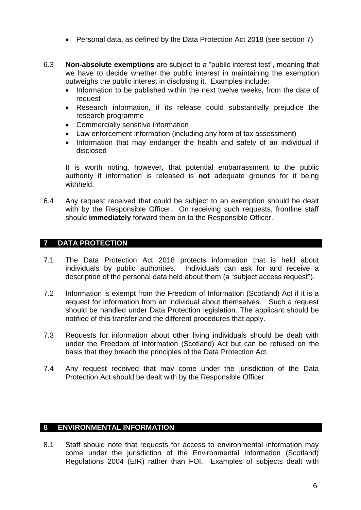- Personal data, as defined by the Data Protection Act 2018 (see section 7)
- 6.3 **Non-absolute exemptions** are subject to a "public interest test", meaning that we have to decide whether the public interest in maintaining the exemption outweighs the public interest in disclosing it. Examples include:
	- Information to be published within the next twelve weeks, from the date of request
	- Research information, if its release could substantially prejudice the research programme
	- Commercially sensitive information
	- Law enforcement information (including any form of tax assessment)
	- Information that may endanger the health and safety of an individual if disclosed

It is worth noting, however, that potential embarrassment to the public authority if information is released is **not** adequate grounds for it being withheld.

6.4 Any request received that could be subject to an exemption should be dealt with by the Responsible Officer. On receiving such requests, frontline staff should **immediately** forward them on to the Responsible Officer.

# **7 DATA PROTECTION**

- 7.1 The Data Protection Act 2018 protects information that is held about individuals by public authorities. Individuals can ask for and receive a description of the personal data held about them (a "subject access request").
- 7.2 Information is exempt from the Freedom of Information (Scotland) Act if it is a request for information from an individual about themselves. Such a request should be handled under Data Protection legislation. The applicant should be notified of this transfer and the different procedures that apply.
- 7.3 Requests for information about other living individuals should be dealt with under the Freedom of Information (Scotland) Act but can be refused on the basis that they breach the principles of the Data Protection Act.
- 7.4 Any request received that may come under the jurisdiction of the Data Protection Act should be dealt with by the Responsible Officer.

## **8 ENVIRONMENTAL INFORMATION**

8.1 Staff should note that requests for access to environmental information may come under the jurisdiction of the Environmental Information (Scotland) Regulations 2004 (EIR) rather than FOI. Examples of subjects dealt with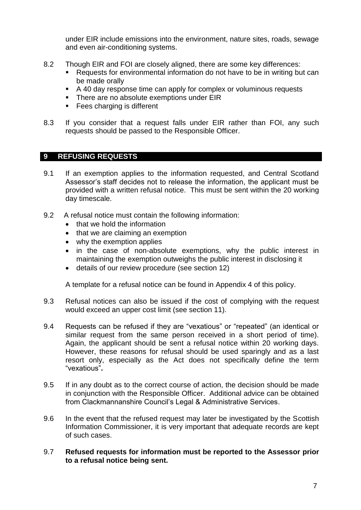under EIR include emissions into the environment, nature sites, roads, sewage and even air-conditioning systems.

- 8.2 Though EIR and FOI are closely aligned, there are some key differences:
	- Requests for environmental information do not have to be in writing but can be made orally
	- A 40 day response time can apply for complex or voluminous requests
	- There are no absolute exemptions under EIR
	- Fees charging is different
- 8.3 If you consider that a request falls under EIR rather than FOI, any such requests should be passed to the Responsible Officer.

### **9 REFUSING REQUESTS**

- 9.1 If an exemption applies to the information requested, and Central Scotland Assessor's staff decides not to release the information, the applicant must be provided with a written refusal notice. This must be sent within the 20 working day timescale.
- 9.2 A refusal notice must contain the following information:
	- that we hold the information
	- $\bullet$  that we are claiming an exemption
	- why the exemption applies
	- in the case of non-absolute exemptions, why the public interest in maintaining the exemption outweighs the public interest in disclosing it
	- details of our review procedure (see section 12)

A template for a refusal notice can be found in Appendix 4 of this policy.

- 9.3 Refusal notices can also be issued if the cost of complying with the request would exceed an upper cost limit (see section 11).
- 9.4 Requests can be refused if they are "vexatious" or "repeated" (an identical or similar request from the same person received in a short period of time). Again, the applicant should be sent a refusal notice within 20 working days. However, these reasons for refusal should be used sparingly and as a last resort only, especially as the Act does not specifically define the term "vexatious"**.**
- 9.5 If in any doubt as to the correct course of action, the decision should be made in conjunction with the Responsible Officer. Additional advice can be obtained from Clackmannanshire Council's Legal & Administrative Services.
- 9.6 In the event that the refused request may later be investigated by the Scottish Information Commissioner, it is very important that adequate records are kept of such cases.

#### 9.7 **Refused requests for information must be reported to the Assessor prior to a refusal notice being sent.**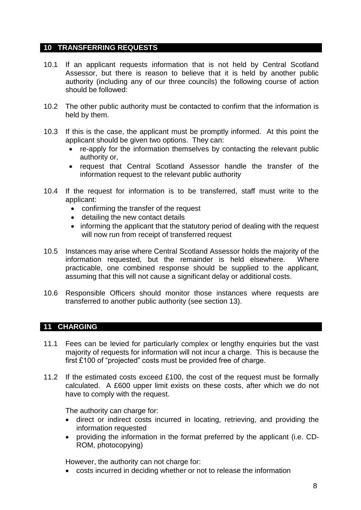#### **10 TRANSFERRING REQUESTS**

- 10.1 If an applicant requests information that is not held by Central Scotland Assessor, but there is reason to believe that it is held by another public authority (including any of our three councils) the following course of action should be followed:
- 10.2 The other public authority must be contacted to confirm that the information is held by them.
- 10.3 If this is the case, the applicant must be promptly informed. At this point the applicant should be given two options. They can:
	- re-apply for the information themselves by contacting the relevant public authority or,
	- request that Central Scotland Assessor handle the transfer of the information request to the relevant public authority
- 10.4 If the request for information is to be transferred, staff must write to the applicant:
	- confirming the transfer of the request
	- detailing the new contact details
	- informing the applicant that the statutory period of dealing with the request will now run from receipt of transferred request
- 10.5 Instances may arise where Central Scotland Assessor holds the majority of the information requested, but the remainder is held elsewhere. Where practicable, one combined response should be supplied to the applicant, assuming that this will not cause a significant delay or additional costs.
- 10.6 Responsible Officers should monitor those instances where requests are transferred to another public authority (see section 13).

#### **11 CHARGING**

- 11.1 Fees can be levied for particularly complex or lengthy enquiries but the vast majority of requests for information will not incur a charge. This is because the first £100 of "projected" costs must be provided free of charge.
- 11.2 If the estimated costs exceed £100, the cost of the request must be formally calculated. A £600 upper limit exists on these costs, after which we do not have to comply with the request.

The authority can charge for:

- direct or indirect costs incurred in locating, retrieving, and providing the information requested
- providing the information in the format preferred by the applicant (i.e. CD-ROM, photocopying)

However, the authority can not charge for:

costs incurred in deciding whether or not to release the information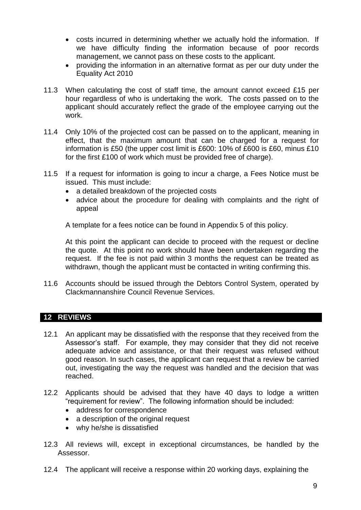- costs incurred in determining whether we actually hold the information. If we have difficulty finding the information because of poor records management, we cannot pass on these costs to the applicant.
- providing the information in an alternative format as per our duty under the Equality Act 2010
- 11.3 When calculating the cost of staff time, the amount cannot exceed £15 per hour regardless of who is undertaking the work. The costs passed on to the applicant should accurately reflect the grade of the employee carrying out the work.
- 11.4 Only 10% of the projected cost can be passed on to the applicant, meaning in effect, that the maximum amount that can be charged for a request for information is £50 (the upper cost limit is £600: 10% of £600 is £60, minus £10 for the first £100 of work which must be provided free of charge).
- 11.5 If a request for information is going to incur a charge, a Fees Notice must be issued. This must include:
	- a detailed breakdown of the projected costs
	- advice about the procedure for dealing with complaints and the right of appeal

A template for a fees notice can be found in Appendix 5 of this policy.

At this point the applicant can decide to proceed with the request or decline the quote. At this point no work should have been undertaken regarding the request. If the fee is not paid within 3 months the request can be treated as withdrawn, though the applicant must be contacted in writing confirming this.

11.6 Accounts should be issued through the Debtors Control System, operated by Clackmannanshire Council Revenue Services.

#### **12 REVIEWS**

- 12.1 An applicant may be dissatisfied with the response that they received from the Assessor's staff. For example, they may consider that they did not receive adequate advice and assistance, or that their request was refused without good reason. In such cases, the applicant can request that a review be carried out, investigating the way the request was handled and the decision that was reached.
- 12.2 Applicants should be advised that they have 40 days to lodge a written "requirement for review". The following information should be included:
	- address for correspondence
	- a description of the original request
	- why he/she is dissatisfied
- 12.3 All reviews will, except in exceptional circumstances, be handled by the Assessor.
- 12.4 The applicant will receive a response within 20 working days, explaining the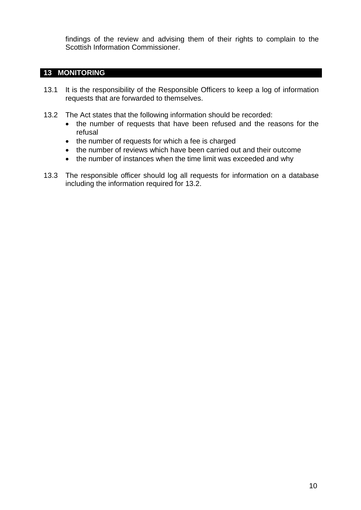findings of the review and advising them of their rights to complain to the Scottish Information Commissioner.

## **13 MONITORING**

- 13.1 It is the responsibility of the Responsible Officers to keep a log of information requests that are forwarded to themselves.
- 13.2 The Act states that the following information should be recorded:
	- the number of requests that have been refused and the reasons for the refusal
	- the number of requests for which a fee is charged
	- the number of reviews which have been carried out and their outcome
	- the number of instances when the time limit was exceeded and why
- 13.3 The responsible officer should log all requests for information on a database including the information required for 13.2.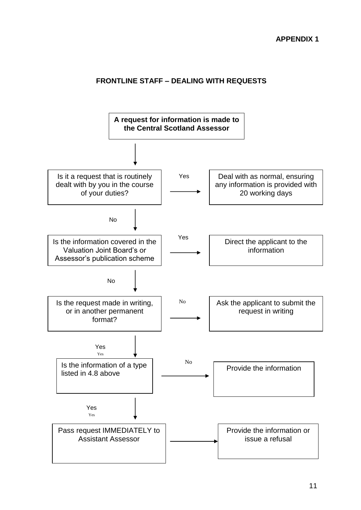# **FRONTLINE STAFF – DEALING WITH REQUESTS**

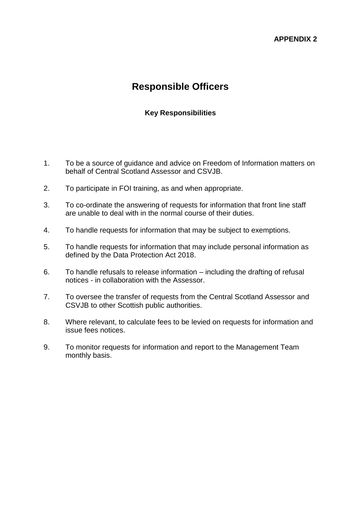#### **APPENDIX 2**

# **Responsible Officers**

## **Key Responsibilities**

- 1. To be a source of guidance and advice on Freedom of Information matters on behalf of Central Scotland Assessor and CSVJB.
- 2. To participate in FOI training, as and when appropriate.
- 3. To co-ordinate the answering of requests for information that front line staff are unable to deal with in the normal course of their duties.
- 4. To handle requests for information that may be subject to exemptions.
- 5. To handle requests for information that may include personal information as defined by the Data Protection Act 2018.
- 6. To handle refusals to release information including the drafting of refusal notices - in collaboration with the Assessor.
- 7. To oversee the transfer of requests from the Central Scotland Assessor and CSVJB to other Scottish public authorities.
- 8. Where relevant, to calculate fees to be levied on requests for information and issue fees notices.
- 9. To monitor requests for information and report to the Management Team monthly basis.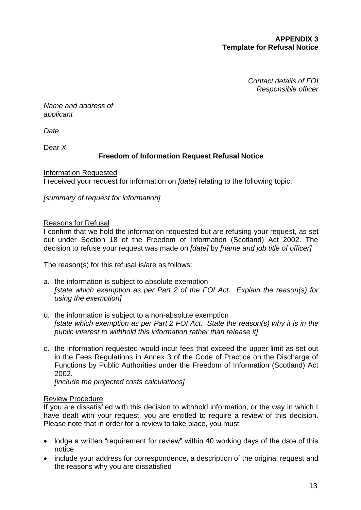### **APPENDIX 3 Template for Refusal Notice**

*Contact details of FOI Responsible officer*

*Name and address of applicant*

*Date*

Dear *X*

# **Freedom of Information Request Refusal Notice**

Information Requested I received your request for information on *[date]* relating to the following topic:

*[summary of request for information]*

#### Reasons for Refusal

I confirm that we hold the information requested but are refusing your request, as set out under Section 18 of the Freedom of Information (Scotland) Act 2002. The decision to refuse your request was made on *[date]* by *[name and job title of officer]*

The reason(s) for this refusal is/are as follows:

- *a.* the information is subject to absolute exemption *[state which exemption as per Part 2 of the FOI Act. Explain the reason(s) for using the exemption]*
- *b.* the information is subject to a non-absolute exemption *[state which exemption as per Part 2 FOI Act. State the reason(s) why it is in the public interest to withhold this information rather than release it]*
- c. the information requested would incur fees that exceed the upper limit as set out in the Fees Regulations in Annex 3 of the Code of Practice on the Discharge of Functions by Public Authorities under the Freedom of Information (Scotland) Act 2002.

*[include the projected costs calculations]*

#### Review Procedure

If you are dissatisfied with this decision to withhold information, or the way in which I have dealt with your request, you are entitled to require a review of this decision. Please note that in order for a review to take place, you must:

- lodge a written "requirement for review" within 40 working days of the date of this notice
- include your address for correspondence, a description of the original request and the reasons why you are dissatisfied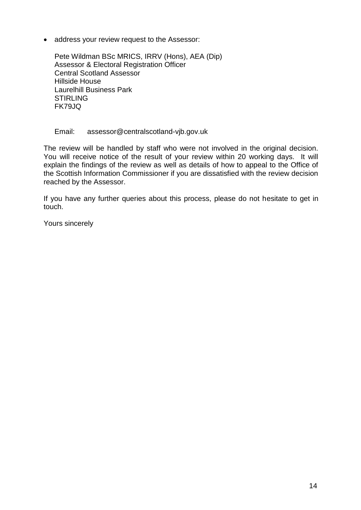address your review request to the Assessor:

Pete Wildman BSc MRICS, IRRV (Hons), AEA (Dip) Assessor & Electoral Registration Officer Central Scotland Assessor Hillside House Laurelhill Business Park **STIRLING** FK79JQ

#### Email: assessor@centralscotland-vjb.gov.uk

The review will be handled by staff who were not involved in the original decision. You will receive notice of the result of your review within 20 working days. It will explain the findings of the review as well as details of how to appeal to the Office of the Scottish Information Commissioner if you are dissatisfied with the review decision reached by the Assessor.

If you have any further queries about this process, please do not hesitate to get in touch.

Yours sincerely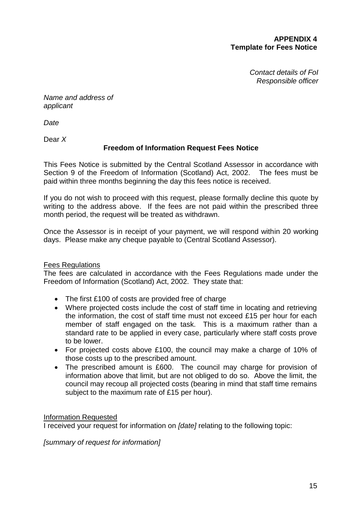#### **APPENDIX 4 Template for Fees Notice**

*Contact details of FoI Responsible officer*

*Name and address of applicant*

*Date*

Dear *X*

# **Freedom of Information Request Fees Notice**

This Fees Notice is submitted by the Central Scotland Assessor in accordance with Section 9 of the Freedom of Information (Scotland) Act, 2002. The fees must be paid within three months beginning the day this fees notice is received.

If you do not wish to proceed with this request, please formally decline this quote by writing to the address above. If the fees are not paid within the prescribed three month period, the request will be treated as withdrawn.

Once the Assessor is in receipt of your payment, we will respond within 20 working days. Please make any cheque payable to (Central Scotland Assessor).

# Fees Regulations

The fees are calculated in accordance with the Fees Regulations made under the Freedom of Information (Scotland) Act, 2002. They state that:

- The first £100 of costs are provided free of charge
- Where projected costs include the cost of staff time in locating and retrieving the information, the cost of staff time must not exceed £15 per hour for each member of staff engaged on the task. This is a maximum rather than a standard rate to be applied in every case, particularly where staff costs prove to be lower.
- For projected costs above £100, the council may make a charge of 10% of those costs up to the prescribed amount.
- The prescribed amount is £600. The council may charge for provision of information above that limit, but are not obliged to do so. Above the limit, the council may recoup all projected costs (bearing in mind that staff time remains subject to the maximum rate of £15 per hour).

Information Requested

I received your request for information on *[date]* relating to the following topic:

*[summary of request for information]*